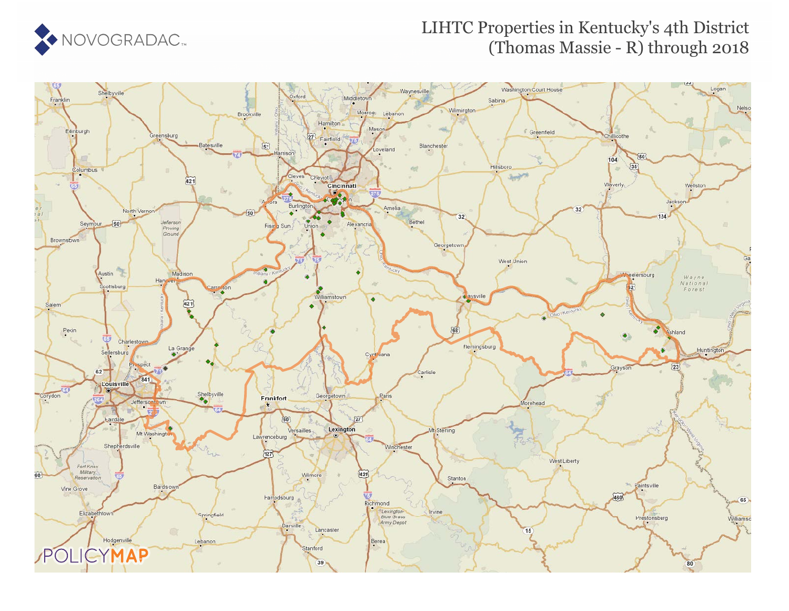

### LIHTC Properties in Kentucky's 4th District (Thomas Massie - R) through 2018

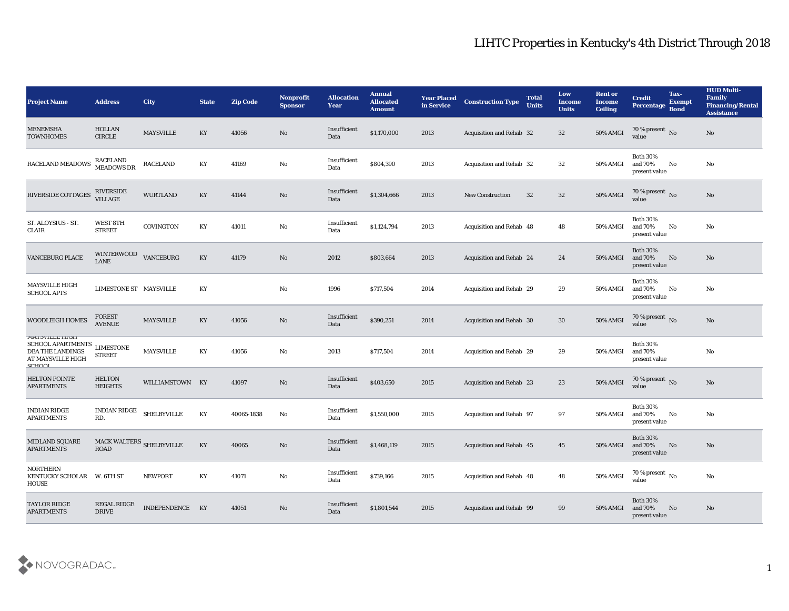| <b>Project Name</b>                                                                                                | <b>Address</b>                                                  | <b>City</b>        | <b>State</b> | <b>Zip Code</b> | <b>Nonprofit</b><br><b>Sponsor</b> | <b>Allocation</b><br>Year | <b>Annual</b><br><b>Allocated</b><br><b>Amount</b> | <b>Year Placed</b><br>in Service | <b>Construction Type</b>        | <b>Total</b><br><b>Units</b> | Low<br><b>Income</b><br><b>Units</b> | <b>Rent or</b><br><b>Income</b><br><b>Ceiling</b> | <b>Credit</b><br>Percentage Bond              | Tax-<br><b>Exempt</b> | <b>HUD Multi-</b><br>Family<br><b>Financing/Rental</b><br><b>Assistance</b> |
|--------------------------------------------------------------------------------------------------------------------|-----------------------------------------------------------------|--------------------|--------------|-----------------|------------------------------------|---------------------------|----------------------------------------------------|----------------------------------|---------------------------------|------------------------------|--------------------------------------|---------------------------------------------------|-----------------------------------------------|-----------------------|-----------------------------------------------------------------------------|
| <b>MENEMSHA</b><br><b>TOWNHOMES</b>                                                                                | <b>HOLLAN</b><br><b>CIRCLE</b>                                  | MAYSVILLE          | KY           | 41056           | No                                 | Insufficient<br>Data      | \$1,170,000                                        | 2013                             | <b>Acquisition and Rehab 32</b> |                              | 32                                   | <b>50% AMGI</b>                                   | 70 % present No value                         |                       | No                                                                          |
| RACELAND MEADOWS                                                                                                   | <b>RACELAND</b><br><b>MEADOWS DR</b>                            | <b>RACELAND</b>    | KY           | 41169           | No                                 | Insufficient<br>Data      | \$804,390                                          | 2013                             | <b>Acquisition and Rehab 32</b> |                              | 32                                   | 50% AMGI                                          | <b>Both 30%</b><br>and 70%<br>present value   | No                    | No                                                                          |
| RIVERSIDE COTTAGES                                                                                                 | RIVERSIDE<br><b>VILLAGE</b>                                     | <b>WURTLAND</b>    | KY           | 41144           | No                                 | Insufficient<br>Data      | \$1,304,666                                        | 2013                             | <b>New Construction</b>         | 32                           | 32                                   | 50% AMGI                                          | 70 % present No<br>value                      |                       | No                                                                          |
| ST. ALOYSIUS - ST.<br>CLAIR                                                                                        | WEST 8TH<br><b>STREET</b>                                       | COVINGTON          | KY           | 41011           | No                                 | Insufficient<br>Data      | \$1,124,794                                        | 2013                             | Acquisition and Rehab 48        |                              | 48                                   | 50% AMGI                                          | <b>Both 30%</b><br>and 70%<br>present value   | No                    | No                                                                          |
| <b>VANCEBURG PLACE</b>                                                                                             | <b>WINTERWOOD</b><br><b>LANE</b>                                | <b>VANCEBURG</b>   | KY           | 41179           | No                                 | 2012                      | \$803,664                                          | 2013                             | Acquisition and Rehab 24        |                              | 24                                   | <b>50% AMGI</b>                                   | <b>Both 30%</b><br>and 70%<br>present value   | No                    | No                                                                          |
| <b>MAYSVILLE HIGH</b><br><b>SCHOOL APTS</b>                                                                        | LIMESTONE ST MAYSVILLE                                          |                    | KY           |                 | No                                 | 1996                      | \$717,504                                          | 2014                             | <b>Acquisition and Rehab 29</b> |                              | 29                                   | 50% AMGI                                          | <b>Both 30%</b><br>and 70%<br>present value   | No                    | No                                                                          |
| WOODLEIGH HOMES                                                                                                    | <b>FOREST</b><br><b>AVENUE</b>                                  | <b>MAYSVILLE</b>   | KY           | 41056           | No                                 | Insufficient<br>Data      | \$390,251                                          | 2014                             | Acquisition and Rehab 30        |                              | 30                                   | <b>50% AMGI</b>                                   | $70\%$ present No<br>value                    |                       | No                                                                          |
| <b>MAISVILLE HIGH</b><br><b>SCHOOL APARTMENTS</b><br><b>DBA THE LANDINGS</b><br>AT MAYSVILLE HIGH<br><b>CLIVOI</b> | <b>LIMESTONE</b><br><b>STREET</b>                               | <b>MAYSVILLE</b>   | KY           | 41056           | No                                 | 2013                      | \$717,504                                          | 2014                             | Acquisition and Rehab 29        |                              | 29                                   | 50% AMGI                                          | <b>Both 30%</b><br>and 70%<br>present value   |                       | No                                                                          |
| <b>HELTON POINTE</b><br><b>APARTMENTS</b>                                                                          | <b>HELTON</b><br><b>HEIGHTS</b>                                 | WILLIAMSTOWN KY    |              | 41097           | No                                 | Insufficient<br>Data      | \$403,650                                          | 2015                             | <b>Acquisition and Rehab 23</b> |                              | 23                                   | 50% AMGI                                          | 70 % present No<br>value                      |                       | No                                                                          |
| <b>INDIAN RIDGE</b><br><b>APARTMENTS</b>                                                                           | INDIAN RIDGE<br>RD.                                             | <b>SHELBYVILLE</b> | KY           | 40065-1838      | No                                 | Insufficient<br>Data      | \$1,550,000                                        | 2015                             | <b>Acquisition and Rehab 97</b> |                              | 97                                   | 50% AMGI                                          | <b>Both 30%</b><br>and 70%<br>present value   | No                    | No                                                                          |
| <b>MIDLAND SQUARE</b><br><b>APARTMENTS</b>                                                                         | MACK WALTERS $_{\mbox{\scriptsize SHELBYVILLE}}$<br><b>ROAD</b> |                    | KY           | 40065           | No                                 | Insufficient<br>Data      | \$1,468,119                                        | 2015                             | <b>Acquisition and Rehab 45</b> |                              | 45                                   | 50% AMGI                                          | <b>Both 30%</b><br>and $70%$<br>present value | No                    | No                                                                          |
| <b>NORTHERN</b><br>KENTUCKY SCHOLAR W. 6TH ST<br>HOUSE                                                             |                                                                 | <b>NEWPORT</b>     | KY           | 41071           | $\rm\thinspace No$                 | Insufficient<br>Data      | \$739,166                                          | 2015                             | Acquisition and Rehab 48        |                              | 48                                   | 50% AMGI                                          | $70\,\%$ present $\,$ No $\,$<br>value        |                       | $\rm \bf No$                                                                |
| <b>TAYLOR RIDGE</b><br><b>APARTMENTS</b>                                                                           | <b>REGAL RIDGE</b><br><b>DRIVE</b>                              | INDEPENDENCE KY    |              | 41051           | No                                 | Insufficient<br>Data      | \$1,801,544                                        | 2015                             | Acquisition and Rehab 99        |                              | 99                                   | <b>50% AMGI</b>                                   | Both $30\%$<br>and 70%<br>present value       | No                    | $\mathbf{N}\mathbf{o}$                                                      |

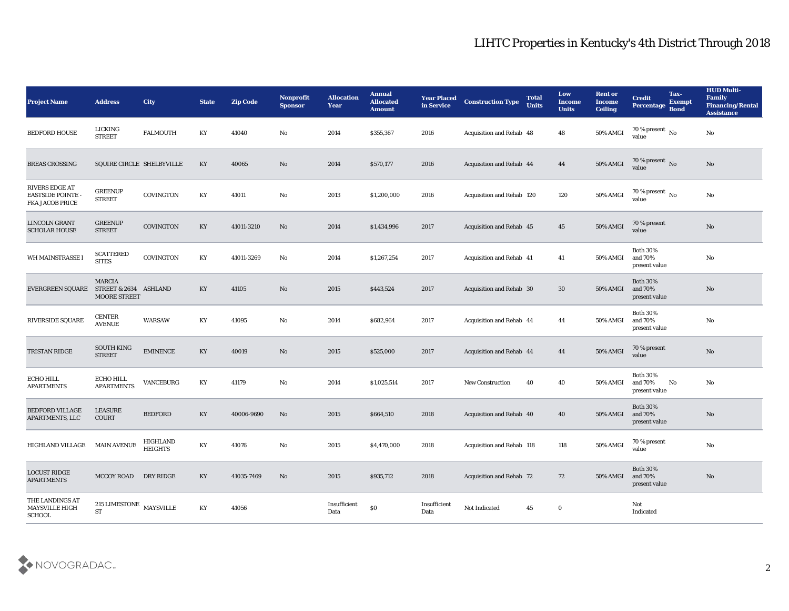| <b>Project Name</b>                                                         | <b>Address</b>                                                | <b>City</b>                | <b>State</b>           | <b>Zip Code</b> | Nonprofit<br><b>Sponsor</b> | <b>Allocation</b><br><b>Year</b> | <b>Annual</b><br><b>Allocated</b><br><b>Amount</b> | <b>Year Placed</b><br>in Service | <b>Construction Type</b>        | <b>Total</b><br><b>Units</b> | Low<br><b>Income</b><br><b>Units</b> | <b>Rent or</b><br><b>Income</b><br><b>Ceiling</b> | <b>Credit</b><br>Percentage                    | Tax-<br><b>Exempt</b><br><b>Bond</b> | <b>HUD Multi-</b><br>Family<br><b>Financing/Rental</b><br><b>Assistance</b> |
|-----------------------------------------------------------------------------|---------------------------------------------------------------|----------------------------|------------------------|-----------------|-----------------------------|----------------------------------|----------------------------------------------------|----------------------------------|---------------------------------|------------------------------|--------------------------------------|---------------------------------------------------|------------------------------------------------|--------------------------------------|-----------------------------------------------------------------------------|
| <b>BEDFORD HOUSE</b>                                                        | LICKING<br><b>STREET</b>                                      | <b>FALMOUTH</b>            | KY                     | 41040           | No                          | 2014                             | \$355,367                                          | 2016                             | Acquisition and Rehab 48        |                              | 48                                   | 50% AMGI                                          | 70 % present $\,$ No $\,$<br>value             |                                      | No                                                                          |
| <b>BREAS CROSSING</b>                                                       | SQUIRE CIRCLE SHELBYVILLE                                     |                            | KY                     | 40065           | No                          | 2014                             | \$570,177                                          | 2016                             | Acquisition and Rehab 44        |                              | 44                                   | 50% AMGI                                          | 70 % present $\,$ No $\,$<br>value             |                                      | No                                                                          |
| <b>RIVERS EDGE AT</b><br><b>EASTSIDE POINTE -</b><br><b>FKA JACOB PRICE</b> | <b>GREENUP</b><br><b>STREET</b>                               | COVINGTON                  | KY                     | 41011           | No                          | 2013                             | \$1,200,000                                        | 2016                             | Acquisition and Rehab 120       |                              | 120                                  | 50% AMGI                                          | 70 % present $\,$ No $\,$<br>value             |                                      | No                                                                          |
| LINCOLN GRANT<br><b>SCHOLAR HOUSE</b>                                       | <b>GREENUP</b><br><b>STREET</b>                               | COVINGTON                  | $\mathbf{K}\mathbf{Y}$ | 41011-3210      | No                          | 2014                             | \$1,434,996                                        | 2017                             | Acquisition and Rehab 45        |                              | 45                                   | <b>50% AMGI</b>                                   | 70 % present<br>value                          |                                      | No                                                                          |
| WH MAINSTRASSE I                                                            | <b>SCATTERED</b><br><b>SITES</b>                              | COVINGTON                  | KY                     | 41011-3269      | No                          | 2014                             | \$1,267,254                                        | 2017                             | <b>Acquisition and Rehab 41</b> |                              | 41                                   | <b>50% AMGI</b>                                   | <b>Both 30%</b><br>and 70%<br>present value    |                                      | No                                                                          |
| <b>EVERGREEN SQUARE</b>                                                     | <b>MARCIA</b><br>STREET & 2634 ASHLAND<br><b>MOORE STREET</b> |                            | KY                     | 41105           | No                          | 2015                             | \$443,524                                          | 2017                             | Acquisition and Rehab 30        |                              | 30                                   | 50% AMGI                                          | <b>Both 30%</b><br>and 70%<br>present value    |                                      | No                                                                          |
| <b>RIVERSIDE SQUARE</b>                                                     | <b>CENTER</b><br><b>AVENUE</b>                                | <b>WARSAW</b>              | KY                     | 41095           | No                          | 2014                             | \$682,964                                          | 2017                             | Acquisition and Rehab 44        |                              | 44                                   | 50% AMGI                                          | <b>Both 30%</b><br>and 70%<br>present value    |                                      | No                                                                          |
| TRISTAN RIDGE                                                               | <b>SOUTH KING</b><br><b>STREET</b>                            | <b>EMINENCE</b>            | KY                     | 40019           | No                          | 2015                             | \$525,000                                          | 2017                             | Acquisition and Rehab 44        |                              | 44                                   | 50% AMGI                                          | 70 % present<br>value                          |                                      | No                                                                          |
| <b>ECHO HILL</b><br><b>APARTMENTS</b>                                       | ECHO HILL<br><b>APARTMENTS</b>                                | <b>VANCEBURG</b>           | KY                     | 41179           | $\mathbf{N}\mathbf{o}$      | 2014                             | \$1,025,514                                        | 2017                             | <b>New Construction</b>         | 40                           | 40                                   | 50% AMGI                                          | <b>Both 30%</b><br>and $70\%$<br>present value | No                                   | No                                                                          |
| <b>BEDFORD VILLAGE</b><br>APARTMENTS, LLC                                   | LEASURE<br>COURT                                              | <b>BEDFORD</b>             | KY                     | 40006-9690      | No                          | 2015                             | \$664,510                                          | 2018                             | Acquisition and Rehab 40        |                              | 40                                   | 50% AMGI                                          | <b>Both 30%</b><br>and 70%<br>present value    |                                      | No                                                                          |
| HIGHLAND VILLAGE                                                            | <b>MAIN AVENUE</b>                                            | HIGHLAND<br><b>HEIGHTS</b> | KY                     | 41076           | No                          | 2015                             | \$4,470,000                                        | 2018                             | Acquisition and Rehab 118       |                              | 118                                  | 50% AMGI                                          | 70 % present<br>value                          |                                      | No                                                                          |
| <b>LOCUST RIDGE</b><br><b>APARTMENTS</b>                                    | <b>MCCOY ROAD</b>                                             | DRY RIDGE                  | $\mathbf{K}\mathbf{Y}$ | 41035-7469      | $\mathbf {No}$              | 2015                             | \$935,712                                          | 2018                             | Acquisition and Rehab 72        |                              | 72                                   | 50% AMGI                                          | <b>Both 30%</b><br>and 70%<br>present value    |                                      | $\rm\thinspace No$                                                          |
| THE LANDINGS AT<br>MAYSVILLE HIGH<br>SCHOOL                                 | $215$ LIMESTONE $\,$ MAYSVILLE<br>$\operatorname{ST}$         |                            | $\mathbf{K}\mathbf{Y}$ | 41056           |                             | Insufficient<br>Data             | $\$0$                                              | Insufficient<br>Data             | Not Indicated                   | 45                           | $\bf{0}$                             |                                                   | Not<br>Indicated                               |                                      |                                                                             |

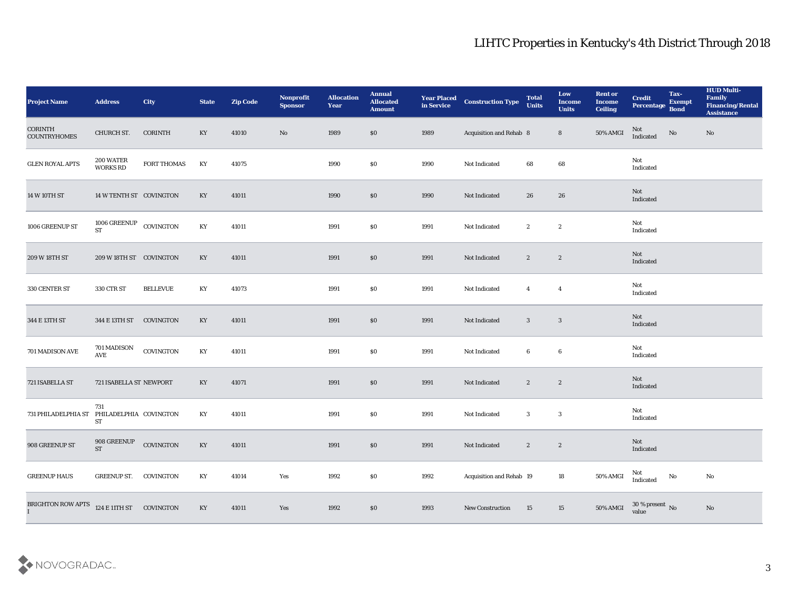| <b>Project Name</b>                   | <b>Address</b>                      | <b>City</b>     | <b>State</b>           | <b>Zip Code</b> | Nonprofit<br><b>Sponsor</b> | <b>Allocation</b><br>Year | <b>Annual</b><br><b>Allocated</b><br><b>Amount</b> | <b>Year Placed<br/>in Service</b> | <b>Construction Type</b> | <b>Total</b><br><b>Units</b> | Low<br><b>Income</b><br><b>Units</b> | <b>Rent or</b><br><b>Income</b><br><b>Ceiling</b> | <b>Credit</b><br>Percentage Bond | Tax-<br><b>Exempt</b> | <b>HUD Multi-</b><br>Family<br><b>Financing/Rental</b><br><b>Assistance</b> |
|---------------------------------------|-------------------------------------|-----------------|------------------------|-----------------|-----------------------------|---------------------------|----------------------------------------------------|-----------------------------------|--------------------------|------------------------------|--------------------------------------|---------------------------------------------------|----------------------------------|-----------------------|-----------------------------------------------------------------------------|
| <b>CORINTH</b><br><b>COUNTRYHOMES</b> | CHURCH ST.                          | CORINTH         | KY                     | 41010           | No                          | 1989                      | \$0                                                | 1989                              | Acquisition and Rehab 8  |                              | 8                                    | 50% AMGI                                          | Not<br>Indicated                 | $\rm \bf No$          | No                                                                          |
| <b>GLEN ROYAL APTS</b>                | 200 WATER<br><b>WORKS RD</b>        | FORT THOMAS     | KY                     | 41075           |                             | 1990                      | \$0                                                | 1990                              | Not Indicated            | 68                           | 68                                   |                                                   | Not<br>Indicated                 |                       |                                                                             |
| 14 W 10TH ST                          | 14 W TENTH ST COVINGTON             |                 | KY                     | 41011           |                             | 1990                      | \$0                                                | 1990                              | Not Indicated            | 26                           | 26                                   |                                                   | Not<br>Indicated                 |                       |                                                                             |
| 1006 GREENUP ST                       | 1006 GREENUP<br>${\rm ST}$          | COVINGTON       | KY                     | 41011           |                             | 1991                      | \$0                                                | 1991                              | Not Indicated            | $\boldsymbol{2}$             | $\boldsymbol{2}$                     |                                                   | Not<br>Indicated                 |                       |                                                                             |
| 209 W 18TH ST                         | 209 W 18TH ST COVINGTON             |                 | KY                     | 41011           |                             | 1991                      | $\$0$                                              | 1991                              | Not Indicated            | $\mathbf{2}$                 | $\boldsymbol{2}$                     |                                                   | Not<br>Indicated                 |                       |                                                                             |
| 330 CENTER ST                         | 330 CTR ST                          | <b>BELLEVUE</b> | KY                     | 41073           |                             | 1991                      | \$0                                                | 1991                              | Not Indicated            | $\overline{4}$               | $\overline{4}$                       |                                                   | Not<br>Indicated                 |                       |                                                                             |
| 344 E 13TH ST                         | 344 E 13TH ST                       | COVINGTON       | KY                     | 41011           |                             | 1991                      | $\$0$                                              | 1991                              | Not Indicated            | $\mathbf{3}$                 | $\mathbf{3}$                         |                                                   | Not<br>Indicated                 |                       |                                                                             |
| 701 MADISON AVE                       | 701 MADISON<br>AVE                  | COVINGTON       | KY                     | 41011           |                             | 1991                      | \$0                                                | 1991                              | Not Indicated            | 6                            | 6                                    |                                                   | Not<br>Indicated                 |                       |                                                                             |
| 721 ISABELLA ST                       | 721 ISABELLA ST NEWPORT             |                 | KY                     | 41071           |                             | 1991                      | \$0                                                | 1991                              | Not Indicated            | $\mathbf{2}$                 | $\boldsymbol{2}$                     |                                                   | Not<br>Indicated                 |                       |                                                                             |
| 731 PHILADELPHIA ST                   | 731<br>PHILADELPHIA COVINGTON<br>ST |                 | KY                     | 41011           |                             | 1991                      | \$0                                                | 1991                              | Not Indicated            | 3                            | 3                                    |                                                   | Not<br>Indicated                 |                       |                                                                             |
| 908 GREENUP ST                        | 908 GREENUP<br><b>ST</b>            | COVINGTON       | KY                     | 41011           |                             | 1991                      | \$0                                                | 1991                              | Not Indicated            | $\mathbf{2}$                 | $\boldsymbol{2}$                     |                                                   | Not<br>Indicated                 |                       |                                                                             |
| <b>GREENUP HAUS</b>                   | GREENUP ST. COVINGTON               |                 | $\mathbf{K}\mathbf{Y}$ | 41014           | Yes                         | 1992                      | $\boldsymbol{\mathsf{S}}\boldsymbol{\mathsf{0}}$   | 1992                              | Acquisition and Rehab 19 |                              | $18\,$                               | 50% AMGI                                          | Not<br>Indicated                 | $\rm No$              | $\mathbf{N}\mathbf{o}$                                                      |
| BRIGHTON ROW APTS                     | 124 E 11TH ST COVINGTON             |                 | $\mathbf{K}\mathbf{Y}$ | 41011           | Yes                         | 1992                      | $\$0$                                              | 1993                              | New Construction         | 15                           | 15                                   | 50% AMGI                                          | $30\,\%$ present $\,$ No value   |                       | $\mathbf{N}\mathbf{o}$                                                      |

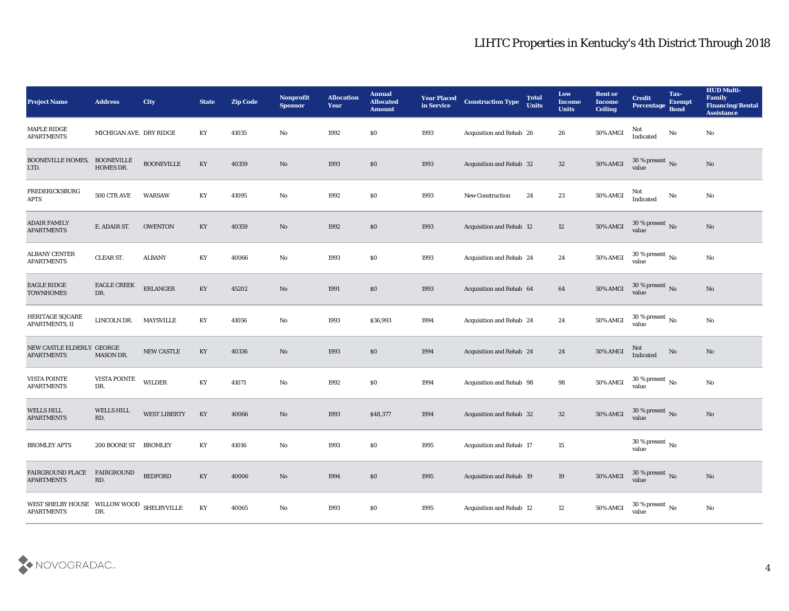| <b>Project Name</b>                                            | <b>Address</b>                 | City                | <b>State</b>           | <b>Zip Code</b> | Nonprofit<br><b>Sponsor</b> | <b>Allocation</b><br><b>Year</b> | <b>Annual</b><br><b>Allocated</b><br><b>Amount</b> | <b>Year Placed</b><br>in Service | <b>Construction Type</b>        | <b>Total</b><br><b>Units</b> | Low<br><b>Income</b><br><b>Units</b> | <b>Rent or</b><br><b>Income</b><br><b>Ceiling</b> | <b>Credit</b><br>Percentage Bond   | Tax-<br><b>Exempt</b> | <b>HUD Multi-</b><br>Family<br><b>Financing/Rental</b><br><b>Assistance</b> |
|----------------------------------------------------------------|--------------------------------|---------------------|------------------------|-----------------|-----------------------------|----------------------------------|----------------------------------------------------|----------------------------------|---------------------------------|------------------------------|--------------------------------------|---------------------------------------------------|------------------------------------|-----------------------|-----------------------------------------------------------------------------|
| MAPLE RIDGE<br><b>APARTMENTS</b>                               | MICHIGAN AVE. DRY RIDGE        |                     | KY                     | 41035           | No                          | 1992                             | \$0                                                | 1993                             | Acquisition and Rehab 26        |                              | 26                                   | 50% AMGI                                          | Not<br>Indicated                   | $\mathbf {No}$        | No                                                                          |
| <b>BOONEVILLE HOMES,</b><br>LTD.                               | <b>BOONEVILLE</b><br>HOMES DR. | <b>BOONEVILLE</b>   | KY                     | 40359           | No                          | 1993                             | \$0                                                | 1993                             | Acquisition and Rehab 32        |                              | 32                                   | <b>50% AMGI</b>                                   | $30\,\%$ present $\,$ No value     |                       | No                                                                          |
| <b>FREDERICKSBURG</b><br><b>APTS</b>                           | 500 CTR AVE                    | <b>WARSAW</b>       | KY                     | 41095           | $\mathbf{N}\mathbf{o}$      | 1992                             | \$0                                                | 1993                             | New Construction                | 24                           | 23                                   | $50\%$ AMGI                                       | Not<br>Indicated                   | No                    | No                                                                          |
| <b>ADAIR FAMILY</b><br><b>APARTMENTS</b>                       | E. ADAIR ST.                   | <b>OWENTON</b>      | KY                     | 40359           | No                          | 1992                             | \$0                                                | 1993                             | Acquisition and Rehab 12        |                              | 12                                   | <b>50% AMGI</b>                                   | $30\,\%$ present $\,$ No value     |                       | No                                                                          |
| <b>ALBANY CENTER</b><br><b>APARTMENTS</b>                      | <b>CLEAR ST.</b>               | <b>ALBANY</b>       | KY                     | 40066           | No                          | 1993                             | \$0                                                | 1993                             | <b>Acquisition and Rehab 24</b> |                              | 24                                   | 50% AMGI                                          | 30 % present $\,$ No $\,$<br>value |                       | No                                                                          |
| <b>EAGLE RIDGE</b><br><b>TOWNHOMES</b>                         | <b>EAGLE CREEK</b><br>DR.      | <b>ERLANGER</b>     | KY                     | 45202           | No                          | 1991                             | \$0                                                | 1993                             | Acquisition and Rehab 64        |                              | 64                                   | 50% AMGI                                          | $30\,\%$ present $\,$ No value     |                       | No                                                                          |
| <b>HERITAGE SQUARE</b><br>APARTMENTS, II                       | LINCOLN DR.                    | <b>MAYSVILLE</b>    | KY                     | 41056           | No                          | 1993                             | \$36,993                                           | 1994                             | Acquisition and Rehab 24        |                              | 24                                   | 50% AMGI                                          | $30\,\%$ present $\,$ No value     |                       | No                                                                          |
| NEW CASTLE ELDERLY GEORGE<br><b>APARTMENTS</b>                 | <b>MASON DR.</b>               | NEW CASTLE          | KY                     | 40336           | No                          | 1993                             | \$0                                                | 1994                             | <b>Acquisition and Rehab 24</b> |                              | 24                                   | <b>50% AMGI</b>                                   | Not<br>Indicated                   | No                    | No                                                                          |
| <b>VISTA POINTE</b><br><b>APARTMENTS</b>                       | VISTA POINTE<br>DR.            | WILDER              | KY                     | 41071           | No                          | 1992                             | \$0                                                | 1994                             | Acquisition and Rehab 98        |                              | 98                                   | 50% AMGI                                          | 30 % present $\,$ No $\,$<br>value |                       | $\rm\thinspace No$                                                          |
| <b>WELLS HILL</b><br><b>APARTMENTS</b>                         | <b>WELLS HILL</b><br>RD.       | <b>WEST LIBERTY</b> | KY                     | 40066           | No                          | 1993                             | \$48,377                                           | 1994                             | <b>Acquisition and Rehab 32</b> |                              | 32                                   | <b>50% AMGI</b>                                   | $30\,\%$ present $\,$ No value     |                       | No                                                                          |
| <b>BROMLEY APTS</b>                                            | 200 BOONE ST BROMLEY           |                     | KY                     | 41016           | No                          | 1993                             | $\$0$                                              | 1995                             | Acquisition and Rehab 17        |                              | 15                                   |                                                   | 30 % present $\,$ No $\,$<br>value |                       |                                                                             |
| <b>FAIRGROUND PLACE</b><br><b>APARTMENTS</b>                   | FAIRGROUND<br>RD.              | <b>BEDFORD</b>      | $\mathbf{K}\mathbf{Y}$ | 40006           | $\rm\thinspace No$          | 1994                             | $\$0$                                              | 1995                             | Acquisition and Rehab 19        |                              | $19\,$                               | 50% AMGI                                          | $30\,\%$ present $\,$ No value     |                       | $\mathbf{N}\mathbf{o}$                                                      |
| WEST SHELBY HOUSE WILLOW WOOD SHELBYVILLE<br><b>APARTMENTS</b> | DR.                            |                     | KY                     | 40065           | $\mathbf{N}\mathbf{o}$      | 1993                             | \$0                                                | 1995                             | Acquisition and Rehab 12        |                              | 12                                   | 50% AMGI                                          | 30 % present $\,$ No $\,$<br>value |                       | $\mathbf{N}\mathbf{o}$                                                      |

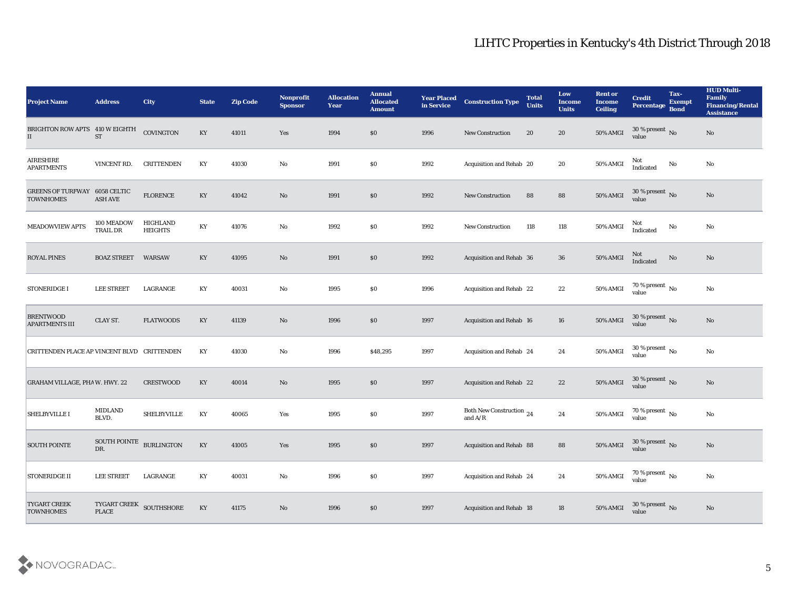| <b>Project Name</b>                                      | <b>Address</b>                                                                                | City                       | <b>State</b>           | <b>Zip Code</b> | Nonprofit<br><b>Sponsor</b> | <b>Allocation</b><br><b>Year</b> | <b>Annual</b><br><b>Allocated</b><br><b>Amount</b> | <b>Year Placed</b><br>in Service | <b>Construction Type</b>                                                                        | <b>Total</b><br><b>Units</b> | Low<br><b>Income</b><br><b>Units</b> | <b>Rent or</b><br><b>Income</b><br><b>Ceiling</b> | <b>Credit</b><br>Percentage Bond     | Tax-<br><b>Exempt</b> | <b>HUD Multi-</b><br>Family<br><b>Financing/Rental</b><br><b>Assistance</b> |
|----------------------------------------------------------|-----------------------------------------------------------------------------------------------|----------------------------|------------------------|-----------------|-----------------------------|----------------------------------|----------------------------------------------------|----------------------------------|-------------------------------------------------------------------------------------------------|------------------------------|--------------------------------------|---------------------------------------------------|--------------------------------------|-----------------------|-----------------------------------------------------------------------------|
| BRIGHTON ROW APTS 410 W EIGHTH<br>$\mathbf{II}$          | <b>ST</b>                                                                                     | COVINGTON                  | KY                     | 41011           | Yes                         | 1994                             | $\$0$                                              | 1996                             | <b>New Construction</b>                                                                         | 20                           | 20                                   | 50% AMGI                                          | $30\%$ present No<br>value           |                       | No                                                                          |
| AIRESHIRE<br><b>APARTMENTS</b>                           | VINCENT RD.                                                                                   | <b>CRITTENDEN</b>          | KY                     | 41030           | No                          | 1991                             | \$0                                                | 1992                             | Acquisition and Rehab 20                                                                        |                              | 20                                   | 50% AMGI                                          | Not<br><b>Indicated</b>              | No                    | No                                                                          |
| <b>GREENS OF TURFWAY 6058 CELTIC</b><br><b>TOWNHOMES</b> | <b>ASH AVE</b>                                                                                | <b>FLORENCE</b>            | KY                     | 41042           | No                          | 1991                             | \$0                                                | 1992                             | <b>New Construction</b>                                                                         | 88                           | 88                                   | 50% AMGI                                          | $30\,\%$ present $\,$ No value       |                       | $\mathbf{N}\mathbf{o}$                                                      |
| MEADOWVIEW APTS                                          | 100 MEADOW<br>TRAIL DR                                                                        | HIGHLAND<br><b>HEIGHTS</b> | KY                     | 41076           | $\mathbf{N}\mathbf{o}$      | 1992                             | \$0                                                | 1992                             | <b>New Construction</b>                                                                         | 118                          | 118                                  | 50% AMGI                                          | Not<br>Indicated                     | No                    | No                                                                          |
| <b>ROYAL PINES</b>                                       | <b>BOAZ STREET</b>                                                                            | <b>WARSAW</b>              | KY                     | 41095           | No                          | 1991                             | \$0                                                | 1992                             | Acquisition and Rehab 36                                                                        |                              | 36                                   | 50% AMGI                                          | Not<br>Indicated                     | $\rm\thinspace No$    | $\mathbf{N}\mathbf{o}$                                                      |
| <b>STONERIDGE I</b>                                      | <b>LEE STREET</b>                                                                             | LAGRANGE                   | KY                     | 40031           | No                          | 1995                             | \$0                                                | 1996                             | Acquisition and Rehab 22                                                                        |                              | 22                                   | 50% AMGI                                          | $70\,\%$ present $\,$ No value       |                       | No                                                                          |
| <b>BRENTWOOD</b><br><b>APARTMENTS III</b>                | CLAY ST.                                                                                      | <b>FLATWOODS</b>           | KY                     | 41139           | No                          | 1996                             | $\boldsymbol{\mathsf{S}}\boldsymbol{\mathsf{0}}$   | 1997                             | Acquisition and Rehab 16                                                                        |                              | 16                                   | $50\%$ AMGI                                       | $30\,\%$ present $\,$ No value       |                       | $\mathbf{N}\mathbf{o}$                                                      |
| CRITTENDEN PLACE AP VINCENT BLVD CRITTENDEN              |                                                                                               |                            | KY                     | 41030           | No                          | 1996                             | \$48,295                                           | 1997                             | Acquisition and Rehab 24                                                                        |                              | 24                                   | 50% AMGI                                          | 30 % present $\,$ No $\,$<br>value   |                       | No                                                                          |
| <b>GRAHAM VILLAGE, PHA W. HWY. 22</b>                    |                                                                                               | <b>CRESTWOOD</b>           | KY                     | 40014           | No                          | 1995                             | \$0                                                | 1997                             | Acquisition and Rehab 22                                                                        |                              | 22                                   | 50% AMGI                                          | $30\,\%$ present $\,$ No value       |                       | $\mathbf{N}\mathbf{o}$                                                      |
| <b>SHELBYVILLE I</b>                                     | <b>MIDLAND</b><br>BLVD.                                                                       | <b>SHELBYVILLE</b>         | KY                     | 40065           | Yes                         | 1995                             | \$0                                                | 1997                             | Both New Construction 24<br>and $\ensuremath{\mathrm{A}}\xspace/\ensuremath{\mathrm{R}}\xspace$ |                              | 24                                   | 50% AMGI                                          | $70\,\%$ present $\,$ No value       |                       | $\mathbf{N}\mathbf{o}$                                                      |
| <b>SOUTH POINTE</b>                                      | SOUTH POINTE BURLINGTON<br>DR.                                                                |                            | KY                     | 41005           | Yes                         | 1995                             | \$0                                                | 1997                             | Acquisition and Rehab 88                                                                        |                              | 88                                   | 50% AMGI                                          | 30 % present $\bar{N}$ o<br>value    |                       | No                                                                          |
| <b>STONERIDGE II</b>                                     | LEE STREET                                                                                    | LAGRANGE                   | $\mathbf{K}\mathbf{Y}$ | 40031           | $\rm\thinspace No$          | 1996                             | $\$0$                                              | 1997                             | Acquisition and Rehab 24                                                                        |                              | 24                                   | $50\%$ AMGI                                       | $70\,\%$ present $\,$ No value       |                       | ${\bf No}$                                                                  |
| <b>TYGART CREEK</b><br><b>TOWNHOMES</b>                  | $\begin{array}{ll} {\rm TYGART \; CREEK} & {\rm SOLUTIONE} \\ {\rm PLACE} & {\rm \end{array}$ |                            | KY                     | 41175           | $\rm\thinspace No$          | 1996                             | \$0                                                | 1997                             | Acquisition and Rehab 18                                                                        |                              | 18                                   | 50% AMGI                                          | 30 % present $\sqrt{\ }$ No<br>value |                       | $\mathbf{N}\mathbf{o}$                                                      |

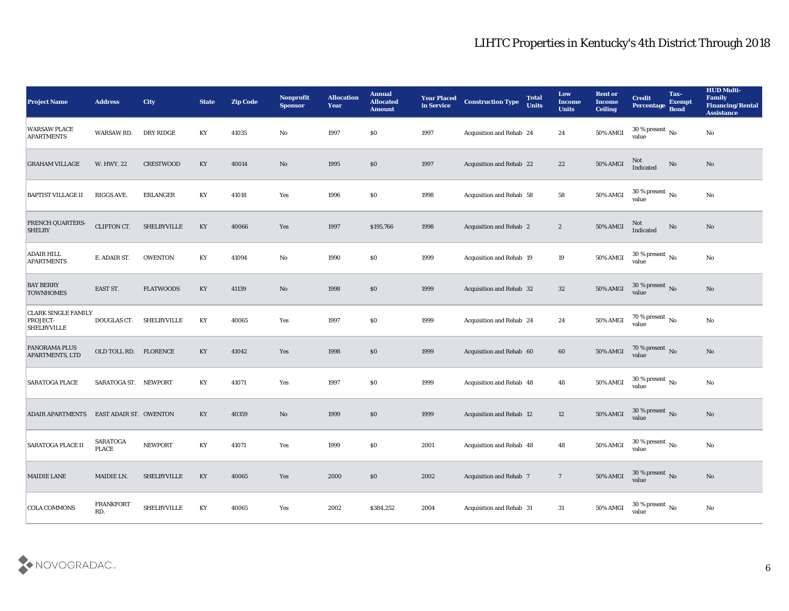| <b>Project Name</b>                                                 | <b>Address</b>                | <b>City</b>        | <b>State</b>           | <b>Zip Code</b> | <b>Nonprofit</b><br><b>Sponsor</b> | <b>Allocation</b><br><b>Year</b> | <b>Annual</b><br><b>Allocated</b><br><b>Amount</b> | <b>Year Placed</b><br>in Service | <b>Construction Type</b>        | <b>Total</b><br><b>Units</b> | Low<br><b>Income</b><br><b>Units</b> | <b>Rent or</b><br><b>Income</b><br><b>Ceiling</b> | <b>Credit</b><br>Percentage Bond       | Tax-<br><b>Exempt</b> | <b>HUD Multi-</b><br>Family<br><b>Financing/Rental</b><br><b>Assistance</b> |
|---------------------------------------------------------------------|-------------------------------|--------------------|------------------------|-----------------|------------------------------------|----------------------------------|----------------------------------------------------|----------------------------------|---------------------------------|------------------------------|--------------------------------------|---------------------------------------------------|----------------------------------------|-----------------------|-----------------------------------------------------------------------------|
| <b>WARSAW PLACE</b><br><b>APARTMENTS</b>                            | WARSAW RD.                    | DRY RIDGE          | KY                     | 41035           | $\mathbf{No}$                      | 1997                             | \$0                                                | 1997                             | Acquisition and Rehab 24        |                              | 24                                   | $50\%$ AMGI                                       | 30 % present $\overline{N_0}$<br>value |                       | No                                                                          |
| <b>GRAHAM VILLAGE</b>                                               | W. HWY. 22                    | CRESTWOOD          | KY                     | 40014           | No                                 | 1995                             | \$0                                                | 1997                             | <b>Acquisition and Rehab 22</b> |                              | 22                                   | 50% AMGI                                          | Not<br>Indicated                       | No                    | No                                                                          |
| <b>BAPTIST VILLAGE II</b>                                           | RIGGS AVE.                    | <b>ERLANGER</b>    | KY                     | 41018           | Yes                                | 1996                             | \$0                                                | 1998                             | Acquisition and Rehab 58        |                              | 58                                   | <b>50% AMGI</b>                                   | 30 % present $\,$ No $\,$<br>value     |                       | No                                                                          |
| <b>FRENCH QUARTERS-</b><br><b>SHELBY</b>                            | CLIFTON CT.                   | <b>SHELBYVILLE</b> | $\mathbf{K}\mathbf{Y}$ | 40066           | Yes                                | 1997                             | \$195,766                                          | 1998                             | <b>Acquisition and Rehab 2</b>  |                              | $\boldsymbol{2}$                     | 50% AMGI                                          | Not<br>Indicated                       | No                    | No                                                                          |
| <b>ADAIR HILL</b><br><b>APARTMENTS</b>                              | E. ADAIR ST.                  | <b>OWENTON</b>     | KY                     | 41094           | $\mathbf{No}$                      | 1990                             | \$0                                                | 1999                             | <b>Acquisition and Rehab 19</b> |                              | 19                                   | 50% AMGI                                          | 30 % present $\,$ No $\,$<br>value     |                       | No                                                                          |
| <b>BAY BERRY</b><br><b>TOWNHOMES</b>                                | EAST ST.                      | <b>FLATWOODS</b>   | KY                     | 41139           | No                                 | 1998                             | \$0                                                | 1999                             | <b>Acquisition and Rehab 32</b> |                              | 32                                   | <b>50% AMGI</b>                                   | $30\,\%$ present $\,$ No value         |                       | No                                                                          |
| <b>CLARK SINGLE FAMILY</b><br><b>PROJECT-</b><br><b>SHELBYVILLE</b> | DOUGLAS CT.                   | <b>SHELBYVILLE</b> | KY                     | 40065           | Yes                                | 1997                             | \$0                                                | 1999                             | Acquisition and Rehab 24        |                              | 24                                   | $50\%$ AMGI                                       | $70\,\%$ present $\,$ No value         |                       | No                                                                          |
| <b>PANORAMA PLUS</b><br><b>APARTMENTS, LTD</b>                      | OLD TOLL RD. FLORENCE         |                    | KY                     | 41042           | Yes                                | 1998                             | $\$0$                                              | 1999                             | Acquisition and Rehab 60        |                              | 60                                   | 50% AMGI                                          | 70 % present $\,$ No $\,$<br>value     |                       | No                                                                          |
| <b>SARATOGA PLACE</b>                                               | SARATOGA ST. NEWPORT          |                    | KY                     | 41071           | Yes                                | 1997                             | \$0\$                                              | 1999                             | Acquisition and Rehab 48        |                              | 48                                   | 50% AMGI                                          | 30 % present $\,$ No $\,$<br>value     |                       | $\rm\thinspace No$                                                          |
| <b>ADAIR APARTMENTS</b>                                             | <b>EAST ADAIR ST. OWENTON</b> |                    | KY                     | 40359           | No                                 | 1999                             | \$0                                                | 1999                             | <b>Acquisition and Rehab 12</b> |                              | 12                                   | 50% AMGI                                          | $30\,\%$ present $\,$ No value         |                       | No                                                                          |
| <b>SARATOGA PLACE II</b>                                            | SARATOGA<br><b>PLACE</b>      | <b>NEWPORT</b>     | KY                     | 41071           | Yes                                | 1999                             | $\$0$                                              | 2001                             | Acquisition and Rehab 48        |                              | 48                                   | <b>50% AMGI</b>                                   | 30 % present $\,$ No $\,$<br>value     |                       | No                                                                          |
| <b>MAIDIE LANE</b>                                                  | MAIDIE LN.                    | SHELBYVILLE        | $\mathbf{K}\mathbf{Y}$ | 40065           | $\mathbf{Yes}$                     | 2000                             | $\$0$                                              | 2002                             | Acquisition and Rehab 7         |                              | $7\phantom{.0}$                      | $50\%$ AMGI                                       | $30\,\%$ present $\,$ No value         |                       | $\rm \bf No$                                                                |
| <b>COLA COMMONS</b>                                                 | <b>FRANKFORT</b><br>RD.       | SHELBYVILLE        | $\mathbf{K}\mathbf{Y}$ | 40065           | Yes                                | 2002                             | \$384,252                                          | 2004                             | Acquisition and Rehab 31        |                              | $31\,$                               | 50% AMGI                                          | 30 % present $\,$ No $\,$<br>value     |                       | $\mathbf {No}$                                                              |

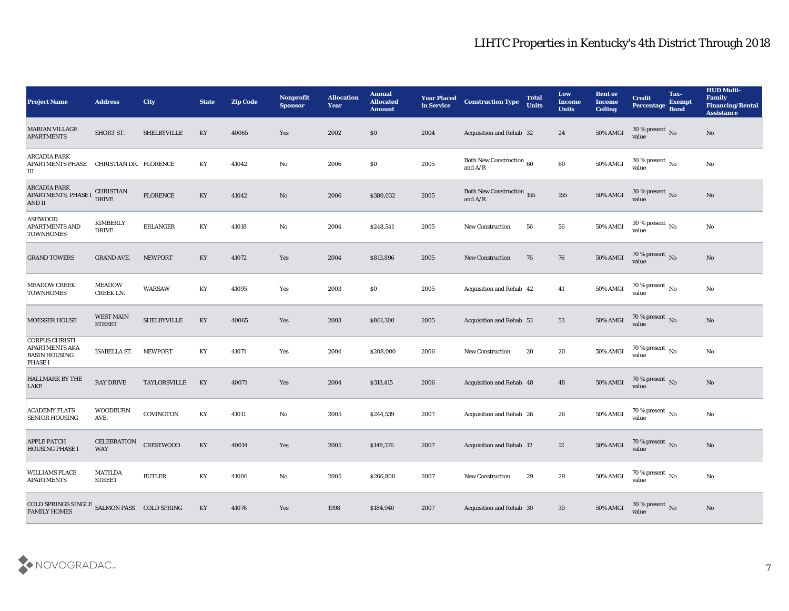| <b>Project Name</b>                                                                      | <b>Address</b>                    | City               | <b>State</b>           | <b>Zip Code</b> | Nonprofit<br><b>Sponsor</b> | <b>Allocation</b><br><b>Year</b> | <b>Annual</b><br><b>Allocated</b><br><b>Amount</b> | <b>Year Placed</b><br>in Service | <b>Construction Type</b>               | <b>Total</b><br><b>Units</b> | Low<br><b>Income</b><br><b>Units</b> | <b>Rent or</b><br><b>Income</b><br><b>Ceiling</b> | <b>Credit</b><br>Percentage Bond       | Tax-<br><b>Exempt</b> | <b>HUD Multi-</b><br>Family<br><b>Financing/Rental</b><br><b>Assistance</b> |
|------------------------------------------------------------------------------------------|-----------------------------------|--------------------|------------------------|-----------------|-----------------------------|----------------------------------|----------------------------------------------------|----------------------------------|----------------------------------------|------------------------------|--------------------------------------|---------------------------------------------------|----------------------------------------|-----------------------|-----------------------------------------------------------------------------|
| <b>MARIAN VILLAGE</b><br><b>APARTMENTS</b>                                               | SHORT ST.                         | <b>SHELBYVILLE</b> | KY                     | 40065           | Yes                         | 2002                             | \$0                                                | 2004                             | Acquisition and Rehab 32               |                              | 24                                   | 50% AMGI                                          | $30\%$ present No<br>value             |                       | No                                                                          |
| <b>ARCADIA PARK</b><br><b>APARTMENTS PHASE</b><br>IШ                                     | CHRISTIAN DR. FLORENCE            |                    | KY                     | 41042           | No                          | 2006                             | $\$0$                                              | 2005                             | Both New Construction 60<br>and $A/R$  |                              | 60                                   | 50% AMGI                                          | $30\,\%$ present $\,$ No value         |                       | No                                                                          |
| <b>ARCADIA PARK</b><br><b>APARTMENTS, PHASE I</b><br><b>AND II</b>                       | <b>CHRISTIAN</b><br><b>DRIVE</b>  | <b>FLORENCE</b>    | KY                     | 41042           | No                          | 2006                             | \$380,032                                          | 2005                             | Both New Construction 155<br>and $A/R$ |                              | 155                                  | 50% AMGI                                          | 30 % present No<br>value               |                       | $\mathbf{N}\mathbf{o}$                                                      |
| <b>ASHWOOD</b><br><b>APARTMENTS AND</b><br><b>TOWNHOMES</b>                              | <b>KIMBERLY</b><br><b>DRIVE</b>   | <b>ERLANGER</b>    | KY                     | 41018           | No                          | 2004                             | \$248,541                                          | 2005                             | <b>New Construction</b>                | 56                           | 56                                   | 50% AMGI                                          | $30\,\%$ present $\,$ No value         |                       | $\mathbf{N}\mathbf{o}$                                                      |
| <b>GRAND TOWERS</b>                                                                      | <b>GRAND AVE.</b>                 | <b>NEWPORT</b>     | KY                     | 41072           | Yes                         | 2004                             | \$813,896                                          | 2005                             | <b>New Construction</b>                | 76                           | 76                                   | <b>50% AMGI</b>                                   | $70\,\%$ present $\,$ No value         |                       | $\rm\thinspace No$                                                          |
| <b>MEADOW CREEK</b><br><b>TOWNHOMES</b>                                                  | <b>MEADOW</b><br>CREEK LN.        | <b>WARSAW</b>      | KY                     | 41095           | Yes                         | 2003                             | $\$0$                                              | 2005                             | Acquisition and Rehab 42               |                              | 41                                   | 50% AMGI                                          | $70\,\%$ present $\,$ No value         |                       | No                                                                          |
| MOESSER HOUSE                                                                            | <b>WEST MAIN</b><br><b>STREET</b> | <b>SHELBYVILLE</b> | KY                     | 40065           | Yes                         | 2003                             | \$861,300                                          | 2005                             | Acquisition and Rehab 53               |                              | 53                                   | 50% AMGI                                          | $70\,\%$ present $\,$ No value         |                       | No                                                                          |
| <b>CORPUS CHRISTI</b><br><b>APARTMENTS AKA</b><br><b>BASIN HOUSING</b><br><b>PHASE I</b> | ISABELLA ST.                      | NEWPORT            | KY                     | 41071           | Yes                         | 2004                             | \$208,000                                          | 2006                             | <b>New Construction</b>                | 20                           | 20                                   | 50% AMGI                                          | 70 % present $\,$ No $\,$<br>value     |                       | No                                                                          |
| <b>HALLMARK BY THE</b><br><b>LAKE</b>                                                    | <b>RAY DRIVE</b>                  | TAYLORSVILLE       | KY                     | 40071           | Yes                         | 2004                             | \$313,415                                          | 2006                             | Acquisition and Rehab 48               |                              | 48                                   | 50% AMGI                                          | $70$ % present $${\rm No}$$ value      |                       | $\mathbf{N}\mathbf{o}$                                                      |
| <b>ACADEMY FLATS</b><br><b>SENIOR HOUSING</b>                                            | <b>WOODBURN</b><br>AVE.           | <b>COVINGTON</b>   | KY                     | 41011           | No                          | 2005                             | \$244,539                                          | 2007                             | Acquisition and Rehab 26               |                              | 26                                   | 50% AMGI                                          | 70 % present $\,$ No $\,$<br>value     |                       | $\mathbf{N}\mathbf{o}$                                                      |
| <b>APPLE PATCH</b><br><b>HOUSING PHASE I</b>                                             | <b>CELEBRATION</b><br><b>WAY</b>  | <b>CRESTWOOD</b>   | KY                     | 40014           | Yes                         | 2005                             | \$148,376                                          | 2007                             | <b>Acquisition and Rehab 12</b>        |                              | 12                                   | 50% AMGI                                          | 70 % present No<br>value               |                       | No                                                                          |
| <b>WILLIAMS PLACE</b><br><b>APARTMENTS</b>                                               | <b>MATILDA</b><br><b>STREET</b>   | <b>BUTLER</b>      | KY                     | 41006           | $\mathbf {No}$              | 2005                             | \$266,800                                          | 2007                             | <b>New Construction</b>                | 29                           | 29                                   | 50% AMGI                                          | $70\,\%$ present $\,$ No value         |                       | $\rm \bf No$                                                                |
| COLD SPRINGS SINGLE ${\bf SALMON}~{\bf PASS}~~{\bf COLD}~{\bf SPRING}$ FAMILY HOMES      |                                   |                    | $\mathbf{K}\mathbf{Y}$ | 41076           | Yes                         | 1998                             | \$184,940                                          | 2007                             | Acquisition and Rehab 30               |                              | $30\,$                               | 50% AMGI                                          | 30 % present $\overline{N_0}$<br>value |                       | No                                                                          |

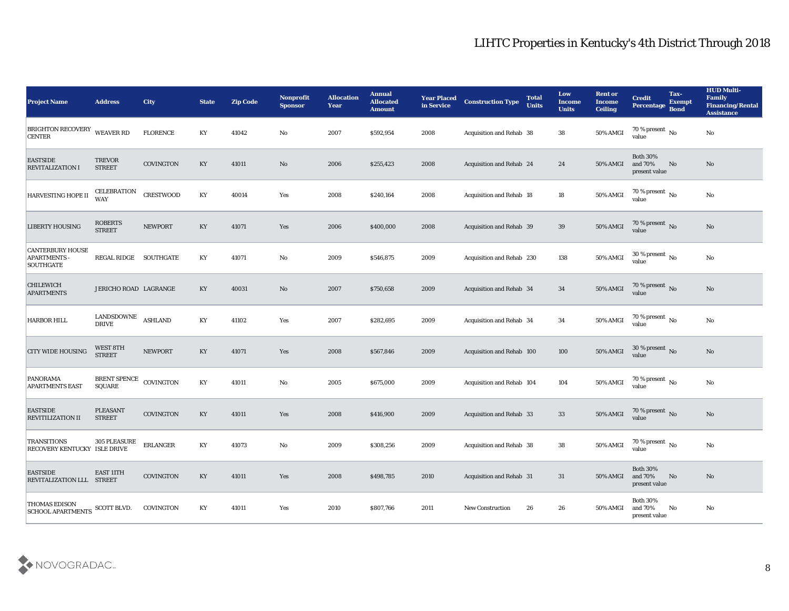| <b>Project Name</b>                                              | <b>Address</b>                   | City             | <b>State</b>           | <b>Zip Code</b> | Nonprofit<br><b>Sponsor</b> | <b>Allocation</b><br><b>Year</b> | <b>Annual</b><br><b>Allocated</b><br><b>Amount</b> | <b>Year Placed</b><br>in Service | <b>Construction Type</b>  | <b>Total</b><br><b>Units</b> | Low<br><b>Income</b><br><b>Units</b> | <b>Rent or</b><br><b>Income</b><br><b>Ceiling</b> | <b>Credit</b><br>Percentage Bond               | Tax-<br><b>Exempt</b>  | <b>HUD Multi-</b><br>Family<br><b>Financing/Rental</b><br><b>Assistance</b> |
|------------------------------------------------------------------|----------------------------------|------------------|------------------------|-----------------|-----------------------------|----------------------------------|----------------------------------------------------|----------------------------------|---------------------------|------------------------------|--------------------------------------|---------------------------------------------------|------------------------------------------------|------------------------|-----------------------------------------------------------------------------|
| <b>BRIGHTON RECOVERY</b><br><b>CENTER</b>                        | WEAVER RD                        | <b>FLORENCE</b>  | KY                     | 41042           | No                          | 2007                             | \$592,954                                          | 2008                             | Acquisition and Rehab 38  |                              | 38                                   | 50% AMGI                                          | 70 % present $\overline{N_0}$<br>value         |                        | $\mathbf{N}\mathbf{o}$                                                      |
| <b>EASTSIDE</b><br><b>REVITALIZATION I</b>                       | <b>TREVOR</b><br><b>STREET</b>   | COVINGTON        | KY                     | 41011           | No                          | 2006                             | \$255,423                                          | 2008                             | Acquisition and Rehab 24  |                              | 24                                   | 50% AMGI                                          | <b>Both 30%</b><br>and 70%<br>present value    | No                     | No                                                                          |
| HARVESTING HOPE II                                               | <b>CELEBRATION</b><br><b>WAY</b> | CRESTWOOD        | KY                     | 40014           | Yes                         | 2008                             | \$240,164                                          | 2008                             | Acquisition and Rehab 18  |                              | 18                                   | 50% AMGI                                          | 70 % present $\,$ No $\,$<br>value             |                        | No                                                                          |
| <b>LIBERTY HOUSING</b>                                           | <b>ROBERTS</b><br><b>STREET</b>  | <b>NEWPORT</b>   | KY                     | 41071           | Yes                         | 2006                             | \$400,000                                          | 2008                             | Acquisition and Rehab 39  |                              | 39                                   | <b>50% AMGI</b>                                   | $70\,\%$ present $\,$ No value                 |                        | No                                                                          |
| <b>CANTERBURY HOUSE</b><br><b>APARTMENTS</b><br><b>SOUTHGATE</b> | REGAL RIDGE                      | SOUTHGATE        | KY                     | 41071           | $\mathbf{N}\mathbf{o}$      | 2009                             | \$546,875                                          | 2009                             | Acquisition and Rehab 230 |                              | 138                                  | 50% AMGI                                          | 30 % present $\overline{N_0}$<br>value         |                        | $\mathbf{N}\mathbf{o}$                                                      |
| CHILEWICH<br><b>APARTMENTS</b>                                   | JERICHO ROAD LAGRANGE            |                  | KY                     | 40031           | No                          | 2007                             | \$750,658                                          | 2009                             | Acquisition and Rehab 34  |                              | 34                                   | 50% AMGI                                          | $70\,\%$ present $\,$ No value                 |                        | No                                                                          |
| <b>HARBOR HILL</b>                                               | LANDSDOWNE<br><b>DRIVE</b>       | <b>ASHLAND</b>   | KY                     | 41102           | Yes                         | 2007                             | \$282,695                                          | 2009                             | Acquisition and Rehab 34  |                              | 34                                   | 50% AMGI                                          | $70\,\%$ present $\,$ No value                 |                        | No                                                                          |
| <b>CITY WIDE HOUSING</b>                                         | WEST 8TH<br><b>STREET</b>        | <b>NEWPORT</b>   | KY                     | 41071           | Yes                         | 2008                             | \$567,846                                          | 2009                             | Acquisition and Rehab 100 |                              | 100                                  | <b>50% AMGI</b>                                   | 30 % present $\overline{\text{No}}$<br>value   |                        | No                                                                          |
| <b>PANORAMA</b><br><b>APARTMENTS EAST</b>                        | <b>BRENT SPENCE</b><br>SQUARE    | COVINGTON        | $\mathbf{K}\mathbf{Y}$ | 41011           | No                          | 2005                             | \$675,000                                          | 2009                             | Acquisition and Rehab 104 |                              | 104                                  | 50% AMGI                                          | 70 % present $\,$ No $\,$<br>value             |                        | $\rm\thinspace No$                                                          |
| <b>EASTSIDE</b><br><b>REVITILIZATION II</b>                      | <b>PLEASANT</b><br><b>STREET</b> | <b>COVINGTON</b> | KY                     | 41011           | Yes                         | 2008                             | \$416,900                                          | 2009                             | Acquisition and Rehab 33  |                              | 33                                   | 50% AMGI                                          | 70 % present No<br>value                       |                        | No                                                                          |
| <b>TRANSITIONS</b><br>RECOVERY KENTUCKY ISLE DRIVE               | <b>305 PLEASURE</b>              | <b>ERLANGER</b>  | KY                     | 41073           | No                          | 2009                             | \$308,256                                          | 2009                             | Acquisition and Rehab 38  |                              | 38                                   | 50% AMGI                                          | 70 % present $\overline{N_0}$<br>value         |                        | No                                                                          |
| <b>EASTSIDE</b><br>REVITALIZATION LLL STREET                     | <b>EAST 11TH</b>                 | COVINGTON        | KY                     | 41011           | Yes                         | 2008                             | \$498,785                                          | 2010                             | Acquisition and Rehab 31  |                              | 31                                   | 50% AMGI                                          | <b>Both 30%</b><br>and $70\%$<br>present value | No                     | No                                                                          |
| <b>THOMAS EDISON</b><br>SCHOOL APARTMENTS SCOTT BLVD.            |                                  | COVINGTON        | KY                     | 41011           | Yes                         | 2010                             | \$807,766                                          | 2011                             | New Construction          | 26                           | 26                                   | 50% AMGI                                          | <b>Both 30%</b><br>and 70%<br>present value    | $\mathbf{N}\mathbf{o}$ | $\rm No$                                                                    |

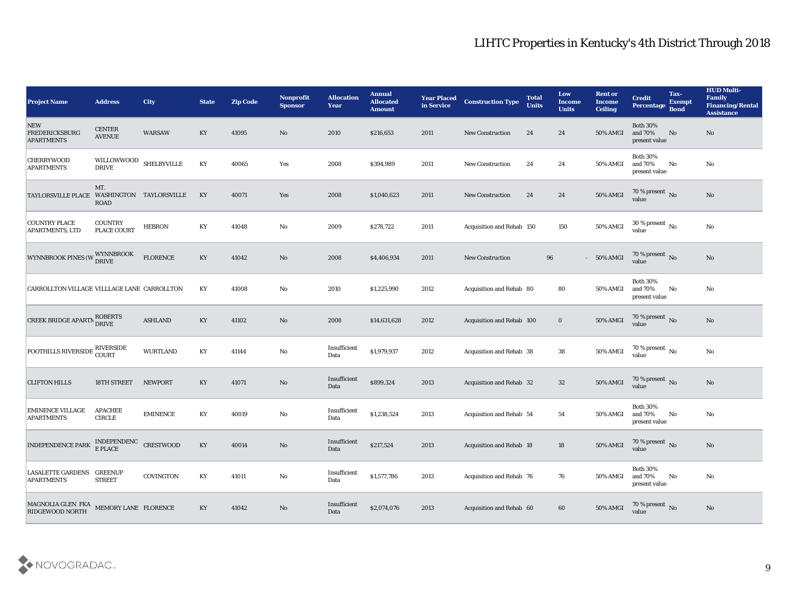| <b>Project Name</b>                               | <b>Address</b>                         | <b>City</b>             | <b>State</b>           | <b>Zip Code</b> | <b>Nonprofit</b><br><b>Sponsor</b> | <b>Allocation</b><br><b>Year</b> | <b>Annual</b><br><b>Allocated</b><br><b>Amount</b> | <b>Year Placed</b><br>in Service | <b>Construction Type</b>        | <b>Total</b><br><b>Units</b> | Low<br><b>Income</b><br><b>Units</b> | <b>Rent or</b><br><b>Income</b><br><b>Ceiling</b> | <b>Credit</b><br>Percentage                 | Tax-<br><b>Exempt</b><br><b>Bond</b> | <b>HUD Multi-</b><br>Family<br><b>Financing/Rental</b><br><b>Assistance</b> |
|---------------------------------------------------|----------------------------------------|-------------------------|------------------------|-----------------|------------------------------------|----------------------------------|----------------------------------------------------|----------------------------------|---------------------------------|------------------------------|--------------------------------------|---------------------------------------------------|---------------------------------------------|--------------------------------------|-----------------------------------------------------------------------------|
| NEW<br><b>FREDERICKSBURG</b><br><b>APARTMENTS</b> | <b>CENTER</b><br><b>AVENUE</b>         | <b>WARSAW</b>           | KY                     | 41095           | No                                 | 2010                             | \$216,653                                          | 2011                             | <b>New Construction</b>         | 24                           | 24                                   | <b>50% AMGI</b>                                   | <b>Both 30%</b><br>and 70%<br>present value | No                                   | No                                                                          |
| <b>CHERRYWOOD</b><br><b>APARTMENTS</b>            | WILLOWWOOD SHELBYVILLE<br><b>DRIVE</b> |                         | KY                     | 40065           | Yes                                | 2008                             | \$394,989                                          | 2011                             | New Construction                | 24                           | 24                                   | 50% AMGI                                          | <b>Both 30%</b><br>and 70%<br>present value | No                                   | No                                                                          |
| <b>TAYLORSVILLE PLACE</b>                         | MT.<br><b>ROAD</b>                     | WASHINGTON TAYLORSVILLE | KY                     | 40071           | Yes                                | 2008                             | \$1,040,623                                        | 2011                             | <b>New Construction</b>         | 24                           | 24                                   | <b>50% AMGI</b>                                   | 70 % present No<br>value                    |                                      | No                                                                          |
| <b>COUNTRY PLACE</b><br>APARTMENTS, LTD           | <b>COUNTRY</b><br><b>PLACE COURT</b>   | <b>HEBRON</b>           | KY                     | 41048           | No                                 | 2009                             | \$278,722                                          | 2011                             | Acquisition and Rehab 150       |                              | 150                                  | 50% AMGI                                          | 30 % present $\overline{N_0}$<br>value      |                                      | $\mathbf{N}\mathbf{o}$                                                      |
| WYNNBROOK PINES (W WYNNBROOK                      |                                        | FLORENCE                | KY                     | 41042           | No                                 | 2008                             | \$4,406,934                                        | 2011                             | <b>New Construction</b>         | 96                           |                                      | $-50\%$ AMGI                                      | 70 % present No<br>value                    |                                      | No                                                                          |
| CARROLLTON VILLAGE VILLLAGE LANE CARROLLTON       |                                        |                         | KY                     | 41008           | No                                 | 2010                             | \$1,225,990                                        | 2012                             | Acquisition and Rehab 80        |                              | 80                                   | 50% AMGI                                          | <b>Both 30%</b><br>and 70%<br>present value | No                                   | No                                                                          |
| CREEK BRIDGE APARTN BOBERTS                       |                                        | <b>ASHLAND</b>          | KY                     | 41102           | No                                 | 2008                             | \$14,631,628                                       | 2012                             | Acquisition and Rehab 100       |                              | $\bf{0}$                             | 50% AMGI                                          | $70\,\%$ present $\,$ No value              |                                      | No                                                                          |
| <b>FOOTHILLS RIVERSIDE</b>                        | <b>RIVERSIDE</b><br><b>COURT</b>       | <b>WURTLAND</b>         | KY                     | 41144           | No                                 | Insufficient<br>Data             | \$1,979,937                                        | 2012                             | Acquisition and Rehab 38        |                              | 38                                   | 50% AMGI                                          | 70 % present $\,$ No $\,$<br>value          |                                      | No                                                                          |
| <b>CLIFTON HILLS</b>                              | 18TH STREET                            | NEWPORT                 | KY                     | 41071           | No                                 | Insufficient<br>Data             | \$899,324                                          | 2013                             | Acquisition and Rehab 32        |                              | 32                                   | 50% AMGI                                          | 70 % present No<br>value                    |                                      | No                                                                          |
| <b>EMINENCE VILLAGE</b><br><b>APARTMENTS</b>      | <b>APACHEE</b><br><b>CIRCLE</b>        | <b>EMINENCE</b>         | KY                     | 40019           | No                                 | Insufficient<br>Data             | \$1,238,524                                        | 2013                             | Acquisition and Rehab 54        |                              | 54                                   | 50% AMGI                                          | <b>Both 30%</b><br>and 70%<br>present value | No                                   | No                                                                          |
| <b>INDEPENDENCE PARK</b>                          | INDEPENDENC<br>E PLACE                 | <b>CRESTWOOD</b>        | KY                     | 40014           | No                                 | Insufficient<br>Data             | \$217,524                                          | 2013                             | <b>Acquisition and Rehab 18</b> |                              | 18                                   | 50% AMGI                                          | 70 % present No<br>value                    |                                      | No                                                                          |
| LASALETTE GARDENS GREENUP<br><b>APARTMENTS</b>    | <b>STREET</b>                          | COVINGTON               | KY                     | 41011           | $\mathbf {No}$                     | Insufficient<br>Data             | \$1,577,786                                        | 2013                             | Acquisition and Rehab 76        |                              | 76                                   | 50% AMGI                                          | <b>Both 30%</b><br>and 70%<br>present value | No                                   | No                                                                          |
| MAGNOLIA GLEN FKA<br>RIDGEWOOD NORTH              | MEMORY LANE FLORENCE                   |                         | $\mathbf{K}\mathbf{Y}$ | 41042           | $\rm\thinspace No$                 | Insufficient<br>Data             | \$2,074,076                                        | 2013                             | Acquisition and Rehab 60        |                              | 60                                   | <b>50% AMGI</b>                                   | 70 % present $\,$ No $\,$<br>value          |                                      | $\rm\thinspace No$                                                          |